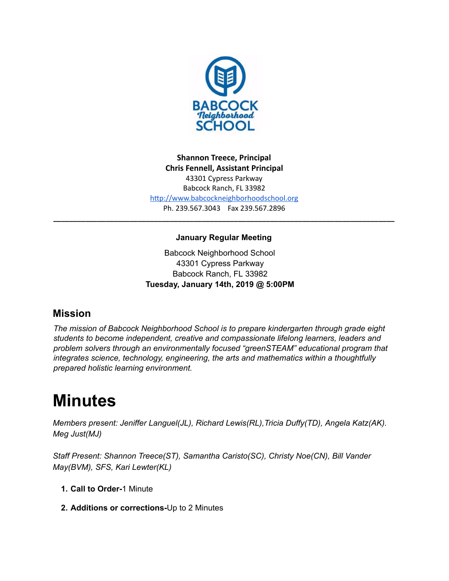

**Shannon Treece, Principal Chris Fennell, Assistant Principal**  43301 Cypress Parkway Babcock Ranch, FL 33982 http://www.babcockneighborhoodschool.org Ph. 239.567.3043 Fax 239.567.2896

### **January Regular Meeting**

**\_\_\_\_\_\_\_\_\_\_\_\_\_\_\_\_\_\_\_\_\_\_\_\_\_\_\_\_\_\_\_\_\_\_\_\_\_\_\_\_\_\_\_\_\_\_\_\_\_\_\_\_\_\_\_\_\_\_\_\_\_\_\_\_\_\_\_\_\_\_\_\_\_\_\_\_\_\_\_\_\_\_\_\_\_**

Babcock Neighborhood School 43301 Cypress Parkway Babcock Ranch, FL 33982 **Tuesday, January 14th, 2019 @ 5:00PM**

# **Mission**

*The mission of Babcock Neighborhood School is to prepare kindergarten through grade eight students to become independent, creative and compassionate lifelong learners, leaders and problem solvers through an environmentally focused "greenSTEAM" educational program that integrates science, technology, engineering, the arts and mathematics within a thoughtfully prepared holistic learning environment.*

# **Minutes**

*Members present: Jeniffer Languel(JL), Richard Lewis(RL),Tricia Duffy(TD), Angela Katz(AK). Meg Just(MJ)*

*Staff Present: Shannon Treece(ST), Samantha Caristo(SC), Christy Noe(CN), Bill Vander May(BVM), SFS, Kari Lewter(KL)*

- **1. Call to Order-**1 Minute
- **2. Additions or corrections-**Up to 2 Minutes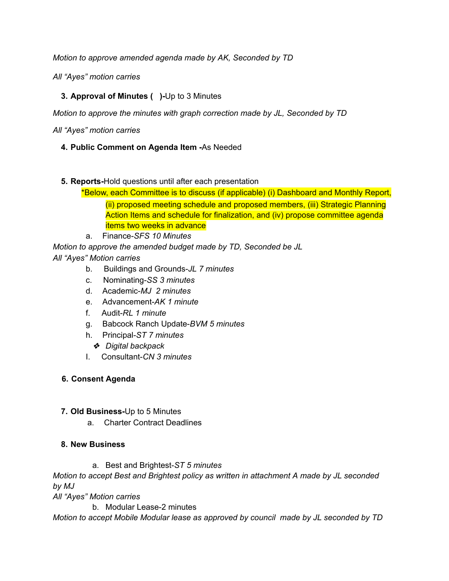*Motion to approve amended agenda made by AK, Seconded by TD*

*All "Ayes" motion carries*

## **3. Approval of Minutes ( )-**Up to 3 Minutes

*Motion to approve the minutes with graph correction made by JL, Seconded by TD*

*All "Ayes" motion carries*

- **4. Public Comment on Agenda Item -**As Needed
- **5. Reports-**Hold questions until after each presentation
	- \*Below, each Committee is to discuss (if applicable) (i) Dashboard and Monthly Report, (ii) proposed meeting schedule and proposed members, (iii) Strategic Planning Action Items and schedule for finalization, and (iv) propose committee agenda items two weeks in advance
	- a. Finance-*SFS 10 Minutes*

*Motion to approve the amended budget made by TD, Seconded be JL*

- *All "Ayes" Motion carries*
	- b. Buildings and Grounds-*JL 7 minutes*
	- c. Nominating-*SS 3 minutes*
	- d. Academic-*MJ 2 minutes*
	- e. Advancement-*AK 1 minute*
	- f. Audit-*RL 1 minute*
	- g. Babcock Ranch Update-*BVM 5 minutes*
	- h. Principal-*ST 7 minutes*
		- ❖ *Digital backpack*
	- I. Consultant-*CN 3 minutes*

#### **6. Consent Agenda**

- **7. Old Business-**Up to 5 Minutes
	- a. Charter Contract Deadlines

#### **8. New Business**

a. Best and Brightest-*ST 5 minutes*

*Motion to accept Best and Brightest policy as written in attachment A made by JL seconded by MJ*

*All "Ayes" Motion carries*

b. Modular Lease-2 minutes

*Motion to accept Mobile Modular lease as approved by council made by JL seconded by TD*